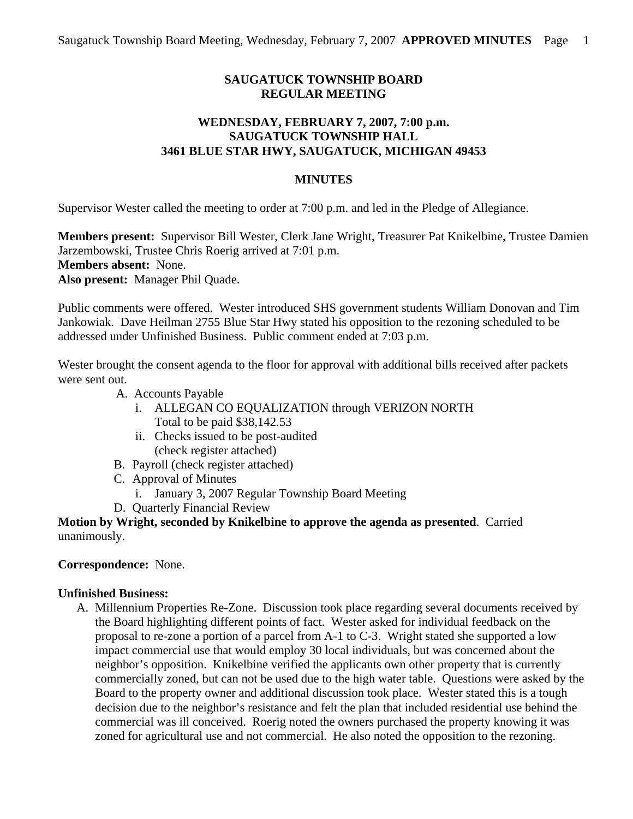# **SAUGATUCK TOWNSHIP BOARD REGULAR MEETING**

## **WEDNESDAY, FEBRUARY 7, 2007, 7:00 p.m. SAUGATUCK TOWNSHIP HALL 3461 BLUE STAR HWY, SAUGATUCK, MICHIGAN 49453**

### **MINUTES**

Supervisor Wester called the meeting to order at 7:00 p.m. and led in the Pledge of Allegiance.

**Members present:** Supervisor Bill Wester, Clerk Jane Wright, Treasurer Pat Knikelbine, Trustee Damien Jarzembowski, Trustee Chris Roerig arrived at 7:01 p.m. **Members absent:** None. **Also present:** Manager Phil Quade.

Public comments were offered. Wester introduced SHS government students William Donovan and Tim Jankowiak. Dave Heilman 2755 Blue Star Hwy stated his opposition to the rezoning scheduled to be addressed under Unfinished Business. Public comment ended at 7:03 p.m.

Wester brought the consent agenda to the floor for approval with additional bills received after packets were sent out.

- A. Accounts Payable
	- i. ALLEGAN CO EQUALIZATION through VERIZON NORTH Total to be paid \$38,142.53
	- ii. Checks issued to be post-audited (check register attached)
- B. Payroll (check register attached)
- C. Approval of Minutes
	- i. January 3, 2007 Regular Township Board Meeting
- D. Quarterly Financial Review

**Motion by Wright, seconded by Knikelbine to approve the agenda as presented**. Carried unanimously.

#### **Correspondence:** None.

#### **Unfinished Business:**

A. Millennium Properties Re-Zone. Discussion took place regarding several documents received by the Board highlighting different points of fact. Wester asked for individual feedback on the proposal to re-zone a portion of a parcel from A-1 to C-3. Wright stated she supported a low impact commercial use that would employ 30 local individuals, but was concerned about the neighbor's opposition. Knikelbine verified the applicants own other property that is currently commercially zoned, but can not be used due to the high water table. Questions were asked by the Board to the property owner and additional discussion took place. Wester stated this is a tough decision due to the neighbor's resistance and felt the plan that included residential use behind the commercial was ill conceived. Roerig noted the owners purchased the property knowing it was zoned for agricultural use and not commercial. He also noted the opposition to the rezoning.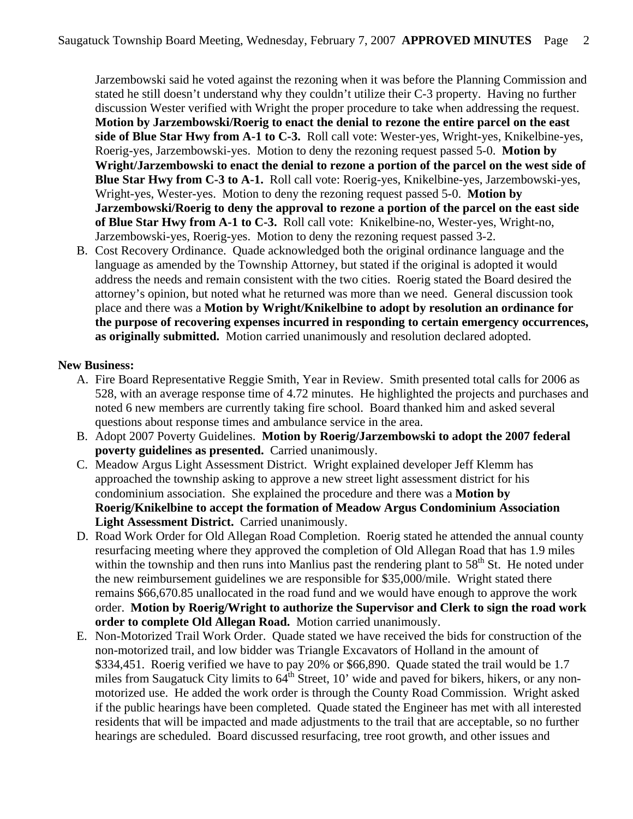Jarzembowski said he voted against the rezoning when it was before the Planning Commission and stated he still doesn't understand why they couldn't utilize their C-3 property. Having no further discussion Wester verified with Wright the proper procedure to take when addressing the request. **Motion by Jarzembowski/Roerig to enact the denial to rezone the entire parcel on the east side of Blue Star Hwy from A-1 to C-3.** Roll call vote: Wester-yes, Wright-yes, Knikelbine-yes, Roerig-yes, Jarzembowski-yes. Motion to deny the rezoning request passed 5-0. **Motion by Wright/Jarzembowski to enact the denial to rezone a portion of the parcel on the west side of Blue Star Hwy from C-3 to A-1.** Roll call vote: Roerig-yes, Knikelbine-yes, Jarzembowski-yes, Wright-yes, Wester-yes. Motion to deny the rezoning request passed 5-0. **Motion by Jarzembowski/Roerig to deny the approval to rezone a portion of the parcel on the east side of Blue Star Hwy from A-1 to C-3.** Roll call vote: Knikelbine-no, Wester-yes, Wright-no, Jarzembowski-yes, Roerig-yes. Motion to deny the rezoning request passed 3-2.

B. Cost Recovery Ordinance. Quade acknowledged both the original ordinance language and the language as amended by the Township Attorney, but stated if the original is adopted it would address the needs and remain consistent with the two cities. Roerig stated the Board desired the attorney's opinion, but noted what he returned was more than we need. General discussion took place and there was a **Motion by Wright/Knikelbine to adopt by resolution an ordinance for the purpose of recovering expenses incurred in responding to certain emergency occurrences, as originally submitted.** Motion carried unanimously and resolution declared adopted.

## **New Business:**

- A. Fire Board Representative Reggie Smith, Year in Review. Smith presented total calls for 2006 as 528, with an average response time of 4.72 minutes. He highlighted the projects and purchases and noted 6 new members are currently taking fire school. Board thanked him and asked several questions about response times and ambulance service in the area.
- B. Adopt 2007 Poverty Guidelines. **Motion by Roerig/Jarzembowski to adopt the 2007 federal poverty guidelines as presented.** Carried unanimously.
- C. Meadow Argus Light Assessment District. Wright explained developer Jeff Klemm has approached the township asking to approve a new street light assessment district for his condominium association. She explained the procedure and there was a **Motion by Roerig/Knikelbine to accept the formation of Meadow Argus Condominium Association Light Assessment District.** Carried unanimously.
- D. Road Work Order for Old Allegan Road Completion. Roerig stated he attended the annual county resurfacing meeting where they approved the completion of Old Allegan Road that has 1.9 miles within the township and then runs into Manlius past the rendering plant to  $58<sup>th</sup>$  St. He noted under the new reimbursement guidelines we are responsible for \$35,000/mile. Wright stated there remains \$66,670.85 unallocated in the road fund and we would have enough to approve the work order. **Motion by Roerig/Wright to authorize the Supervisor and Clerk to sign the road work order to complete Old Allegan Road.** Motion carried unanimously.
- E. Non-Motorized Trail Work Order. Quade stated we have received the bids for construction of the non-motorized trail, and low bidder was Triangle Excavators of Holland in the amount of \$334,451. Roerig verified we have to pay 20% or \$66,890. Quade stated the trail would be 1.7 miles from Saugatuck City limits to  $64^{th}$  Street, 10' wide and paved for bikers, hikers, or any nonmotorized use. He added the work order is through the County Road Commission. Wright asked if the public hearings have been completed. Quade stated the Engineer has met with all interested residents that will be impacted and made adjustments to the trail that are acceptable, so no further hearings are scheduled. Board discussed resurfacing, tree root growth, and other issues and